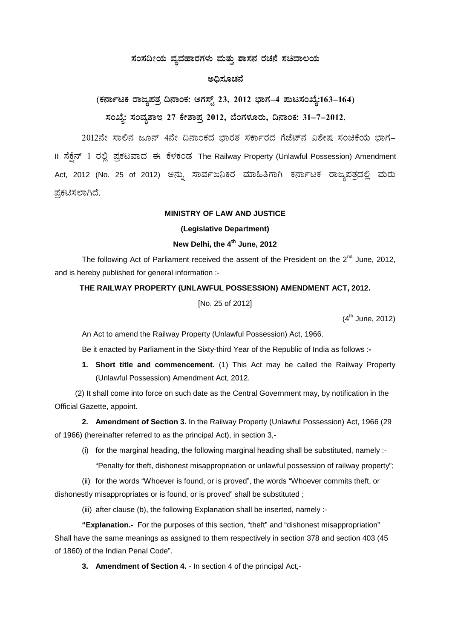## ಸಂಸದೀಯ ವ್ಯವಹಾರಗಳು ಮತ್ತು ಶಾಸನ ರಚನೆ ಸಚಿವಾಲಯ

## ಅಧಿಸೂಚನೆ

(ಕರ್ನಾಟಕ ರಾಜ್ಯಪತ್ರ ದಿನಾಂಕ: ಆಗಸ್ಟ್ 23, 2012 ಭಾಗ–4 ಪುಟಸಂಖ್ಯೆ:163–164) ಸಂಖ್ಯೆ: ಸಂವೃಶಾಇ 27 ಕೇಶಾಪ್ತ 2012, ಬೆಂಗಳೂರು, ದಿನಾಂಕ: 31-7-2012.

2012ನೇ ಸಾಲಿನ ಜೂನ್ 4ನೇ ದಿನಾಂಕದ ಭಾರತ ಸರ್ಕಾರದ ಗೆಜೆಟ್ನ ವಿಶೇಷ ಸಂಚಿಕೆಯ ಭಾಗ– II ಸೆಕ್ಷೆನ್ 1 ರಲ್ಲಿ ಪ್ರಕಟವಾದ ಈ ಕೆಳಕಂಡ The Railway Property (Unlawful Possession) Amendment Act, 2012 (No. 25 of 2012) ಅನ್ನು ಸಾರ್ವಜನಿಕರ ಮಾಹಿತಿಗಾಗಿ ಕರ್ನಾಟಕ ರಾಜ್ಮಪತ್ರದಲ್ಲಿ ಮರು ಪ್ರಕಟಿಸಲಾಗಿದೆ.

### MINISTRY OF LAW AND JUSTICE

(Legislative Department)

# New Delhi, the 4<sup>th</sup> June, 2012

The following Act of Parliament received the assent of the President on the 2<sup>nd</sup> June, 2012, and is hereby published for general information :-

#### THE RAILWAY PROPERTY (UNLAWFUL POSSESSION) AMENDMENT ACT, 2012.

[No. 25 of 2012]

 $(4^{th}$  June, 2012)

An Act to amend the Railway Property (Unlawful Possession) Act, 1966.

Be it enacted by Parliament in the Sixty-third Year of the Republic of India as follows :-

1. Short title and commencement. (1) This Act may be called the Railway Property (Unlawful Possession) Amendment Act, 2012.

(2) It shall come into force on such date as the Central Government may, by notification in the Official Gazette, appoint.

2. Amendment of Section 3. In the Railway Property (Unlawful Possession) Act, 1966 (29 of 1966) (hereinafter referred to as the principal Act), in section 3,-

(i) for the marginal heading, the following marginal heading shall be substituted, namely :-

"Penalty for theft, dishonest misappropriation or unlawful possession of railway property";

(ii) for the words "Whoever is found, or is proved", the words "Whoever commits theft, or dishonestly misappropriates or is found, or is proved" shall be substituted;

(iii) after clause (b), the following Explanation shall be inserted, namely :-

"Explanation.- For the purposes of this section, "theft" and "dishonest misappropriation" Shall have the same meanings as assigned to them respectively in section 378 and section 403 (45 of 1860) of the Indian Penal Code".

3. Amendment of Section 4. - In section 4 of the principal Act.-